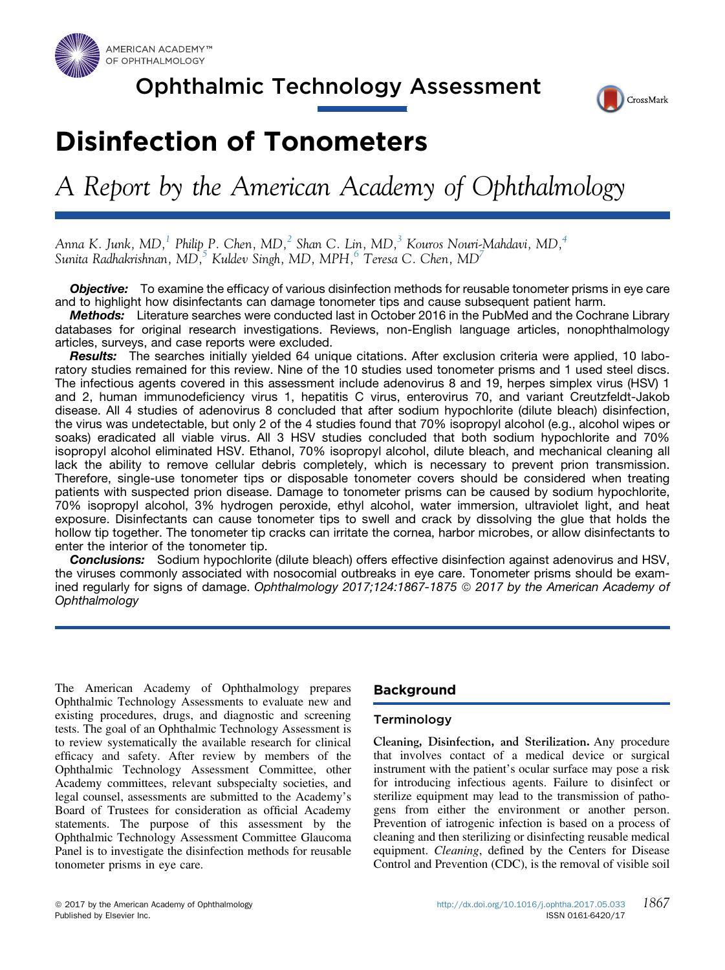

Ophthalmic Technology Assessment



# Disinfection of Tonometers

A Report by the American Academy of Ophthalmology

Anna K. Junk, MD,<sup>[1](#page-8-0)</sup> Philip P. Chen, MD,<sup>[2](#page-8-0)</sup> Shan C. Lin, MD,<sup>[3](#page-8-0)</sup> Kouros Nouri-Mahdavi, MD,<sup>[4](#page-8-0)</sup> Sunita Radhakrishnan, MD,  $^5$  Kuldev Singh, MD, MPH,  $^6$  $^6$  Teresa C. Chen, MD<sup>[7](#page-8-0)</sup>

Objective: To examine the efficacy of various disinfection methods for reusable tonometer prisms in eye care and to highlight how disinfectants can damage tonometer tips and cause subsequent patient harm.

Methods: Literature searches were conducted last in October 2016 in the PubMed and the Cochrane Library databases for original research investigations. Reviews, non-English language articles, nonophthalmology articles, surveys, and case reports were excluded.

Results: The searches initially yielded 64 unique citations. After exclusion criteria were applied, 10 laboratory studies remained for this review. Nine of the 10 studies used tonometer prisms and 1 used steel discs. The infectious agents covered in this assessment include adenovirus 8 and 19, herpes simplex virus (HSV) 1 and 2, human immunodeficiency virus 1, hepatitis C virus, enterovirus 70, and variant Creutzfeldt-Jakob disease. All 4 studies of adenovirus 8 concluded that after sodium hypochlorite (dilute bleach) disinfection, the virus was undetectable, but only 2 of the 4 studies found that 70% isopropyl alcohol (e.g., alcohol wipes or soaks) eradicated all viable virus. All 3 HSV studies concluded that both sodium hypochlorite and 70% isopropyl alcohol eliminated HSV. Ethanol, 70% isopropyl alcohol, dilute bleach, and mechanical cleaning all lack the ability to remove cellular debris completely, which is necessary to prevent prion transmission. Therefore, single-use tonometer tips or disposable tonometer covers should be considered when treating patients with suspected prion disease. Damage to tonometer prisms can be caused by sodium hypochlorite, 70% isopropyl alcohol, 3% hydrogen peroxide, ethyl alcohol, water immersion, ultraviolet light, and heat exposure. Disinfectants can cause tonometer tips to swell and crack by dissolving the glue that holds the hollow tip together. The tonometer tip cracks can irritate the cornea, harbor microbes, or allow disinfectants to enter the interior of the tonometer tip.

**Conclusions:** Sodium hypochlorite (dilute bleach) offers effective disinfection against adenovirus and HSV, the viruses commonly associated with nosocomial outbreaks in eye care. Tonometer prisms should be examined regularly for signs of damage. Ophthalmology 2017;124:1867-1875 © 2017 by the American Academy of **Ophthalmology** 

The American Academy of Ophthalmology prepares Ophthalmic Technology Assessments to evaluate new and existing procedures, drugs, and diagnostic and screening tests. The goal of an Ophthalmic Technology Assessment is to review systematically the available research for clinical efficacy and safety. After review by members of the Ophthalmic Technology Assessment Committee, other Academy committees, relevant subspecialty societies, and legal counsel, assessments are submitted to the Academy's Board of Trustees for consideration as official Academy statements. The purpose of this assessment by the Ophthalmic Technology Assessment Committee Glaucoma Panel is to investigate the disinfection methods for reusable tonometer prisms in eye care.

# Background

#### **Terminology**

Cleaning, Disinfection, and Sterilization. Any procedure that involves contact of a medical device or surgical instrument with the patient's ocular surface may pose a risk for introducing infectious agents. Failure to disinfect or sterilize equipment may lead to the transmission of pathogens from either the environment or another person. Prevention of iatrogenic infection is based on a process of cleaning and then sterilizing or disinfecting reusable medical equipment. *Cleaning*, defined by the Centers for Disease Control and Prevention (CDC), is the removal of visible soil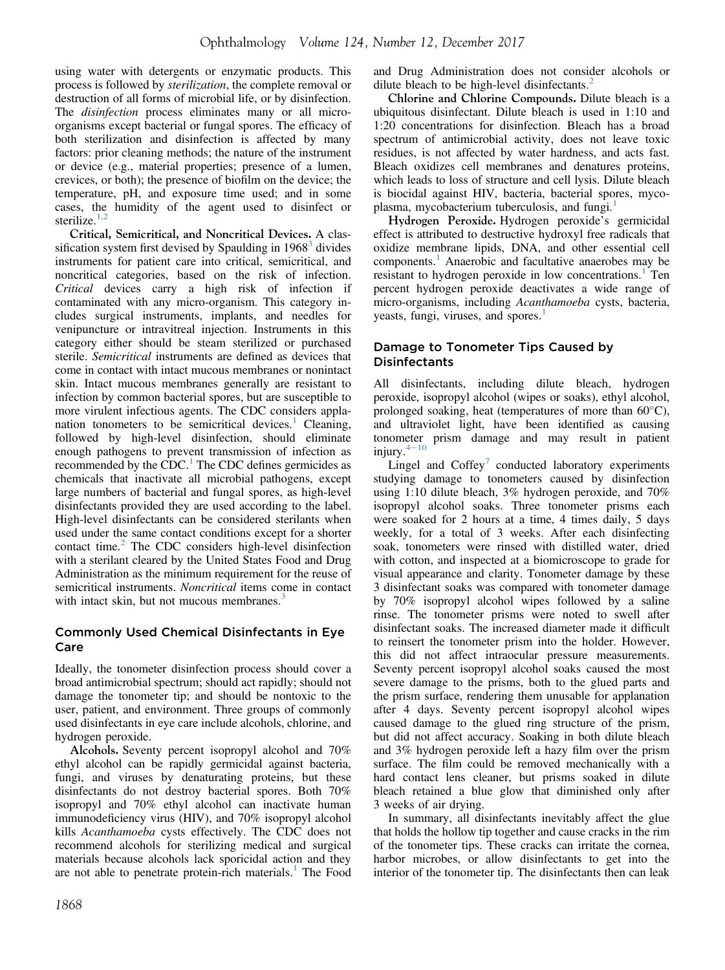using water with detergents or enzymatic products. This process is followed by sterilization, the complete removal or destruction of all forms of microbial life, or by disinfection. The disinfection process eliminates many or all microorganisms except bacterial or fungal spores. The efficacy of both sterilization and disinfection is affected by many factors: prior cleaning methods; the nature of the instrument or device (e.g., material properties; presence of a lumen, crevices, or both); the presence of biofilm on the device; the temperature, pH, and exposure time used; and in some cases, the humidity of the agent used to disinfect or sterilize. $1,2$ 

Critical, Semicritical, and Noncritical Devices. A classification system first devised by Spaulding in  $1968<sup>3</sup>$  $1968<sup>3</sup>$  $1968<sup>3</sup>$  divides instruments for patient care into critical, semicritical, and noncritical categories, based on the risk of infection. Critical devices carry a high risk of infection if contaminated with any micro-organism. This category includes surgical instruments, implants, and needles for venipuncture or intravitreal injection. Instruments in this category either should be steam sterilized or purchased sterile. Semicritical instruments are defined as devices that come in contact with intact mucous membranes or nonintact skin. Intact mucous membranes generally are resistant to infection by common bacterial spores, but are susceptible to more virulent infectious agents. The CDC considers appla-nation tonometers to be semicritical devices.<sup>[1](#page-7-0)</sup> Cleaning, followed by high-level disinfection, should eliminate enough pathogens to prevent transmission of infection as recommended by the CDC.<sup>[1](#page-7-0)</sup> The CDC defines germicides as chemicals that inactivate all microbial pathogens, except large numbers of bacterial and fungal spores, as high-level disinfectants provided they are used according to the label. High-level disinfectants can be considered sterilants when used under the same contact conditions except for a shorter contact time.<sup>[2](#page-7-0)</sup> The CDC considers high-level disinfection with a sterilant cleared by the United States Food and Drug Administration as the minimum requirement for the reuse of semicritical instruments. Noncritical items come in contact with intact skin, but not mucous membranes.<sup>[3](#page-7-0)</sup>

# Commonly Used Chemical Disinfectants in Eye Care

Ideally, the tonometer disinfection process should cover a broad antimicrobial spectrum; should act rapidly; should not damage the tonometer tip; and should be nontoxic to the user, patient, and environment. Three groups of commonly used disinfectants in eye care include alcohols, chlorine, and hydrogen peroxide.

Alcohols. Seventy percent isopropyl alcohol and 70% ethyl alcohol can be rapidly germicidal against bacteria, fungi, and viruses by denaturating proteins, but these disinfectants do not destroy bacterial spores. Both 70% isopropyl and 70% ethyl alcohol can inactivate human immunodeficiency virus (HIV), and 70% isopropyl alcohol kills Acanthamoeba cysts effectively. The CDC does not recommend alcohols for sterilizing medical and surgical materials because alcohols lack sporicidal action and they are not able to penetrate protein-rich materials.<sup>1</sup> The Food

and Drug Administration does not consider alcohols or dilute bleach to be high-level disinfectants.<sup>[2](#page-7-0)</sup>

Chlorine and Chlorine Compounds. Dilute bleach is a ubiquitous disinfectant. Dilute bleach is used in 1:10 and 1:20 concentrations for disinfection. Bleach has a broad spectrum of antimicrobial activity, does not leave toxic residues, is not affected by water hardness, and acts fast. Bleach oxidizes cell membranes and denatures proteins, which leads to loss of structure and cell lysis. Dilute bleach is biocidal against HIV, bacteria, bacterial spores, myco-plasma, mycobacterium tuberculosis, and fungi.<sup>[1](#page-7-0)</sup>

Hydrogen Peroxide. Hydrogen peroxide's germicidal effect is attributed to destructive hydroxyl free radicals that oxidize membrane lipids, DNA, and other essential cell components.[1](#page-7-0) Anaerobic and facultative anaerobes may be resistant to hydrogen peroxide in low concentrations.<sup>[1](#page-7-0)</sup> Ten percent hydrogen peroxide deactivates a wide range of micro-organisms, including Acanthamoeba cysts, bacteria, yeasts, fungi, viruses, and spores.<sup>[1](#page-7-0)</sup>

# Damage to Tonometer Tips Caused by Disinfectants

All disinfectants, including dilute bleach, hydrogen peroxide, isopropyl alcohol (wipes or soaks), ethyl alcohol, prolonged soaking, heat (temperatures of more than  $60^{\circ}$ C), and ultraviolet light, have been identified as causing tonometer prism damage and may result in patient injury.<sup>[4](#page-7-0)–[10](#page-7-0)</sup>

Lingel and  $Coffey<sup>7</sup>$  $Coffey<sup>7</sup>$  $Coffey<sup>7</sup>$  conducted laboratory experiments studying damage to tonometers caused by disinfection using 1:10 dilute bleach, 3% hydrogen peroxide, and 70% isopropyl alcohol soaks. Three tonometer prisms each were soaked for 2 hours at a time, 4 times daily, 5 days weekly, for a total of 3 weeks. After each disinfecting soak, tonometers were rinsed with distilled water, dried with cotton, and inspected at a biomicroscope to grade for visual appearance and clarity. Tonometer damage by these 3 disinfectant soaks was compared with tonometer damage by 70% isopropyl alcohol wipes followed by a saline rinse. The tonometer prisms were noted to swell after disinfectant soaks. The increased diameter made it difficult to reinsert the tonometer prism into the holder. However, this did not affect intraocular pressure measurements. Seventy percent isopropyl alcohol soaks caused the most severe damage to the prisms, both to the glued parts and the prism surface, rendering them unusable for applanation after 4 days. Seventy percent isopropyl alcohol wipes caused damage to the glued ring structure of the prism, but did not affect accuracy. Soaking in both dilute bleach and 3% hydrogen peroxide left a hazy film over the prism surface. The film could be removed mechanically with a hard contact lens cleaner, but prisms soaked in dilute bleach retained a blue glow that diminished only after 3 weeks of air drying.

In summary, all disinfectants inevitably affect the glue that holds the hollow tip together and cause cracks in the rim of the tonometer tips. These cracks can irritate the cornea, harbor microbes, or allow disinfectants to get into the interior of the tonometer tip. The disinfectants then can leak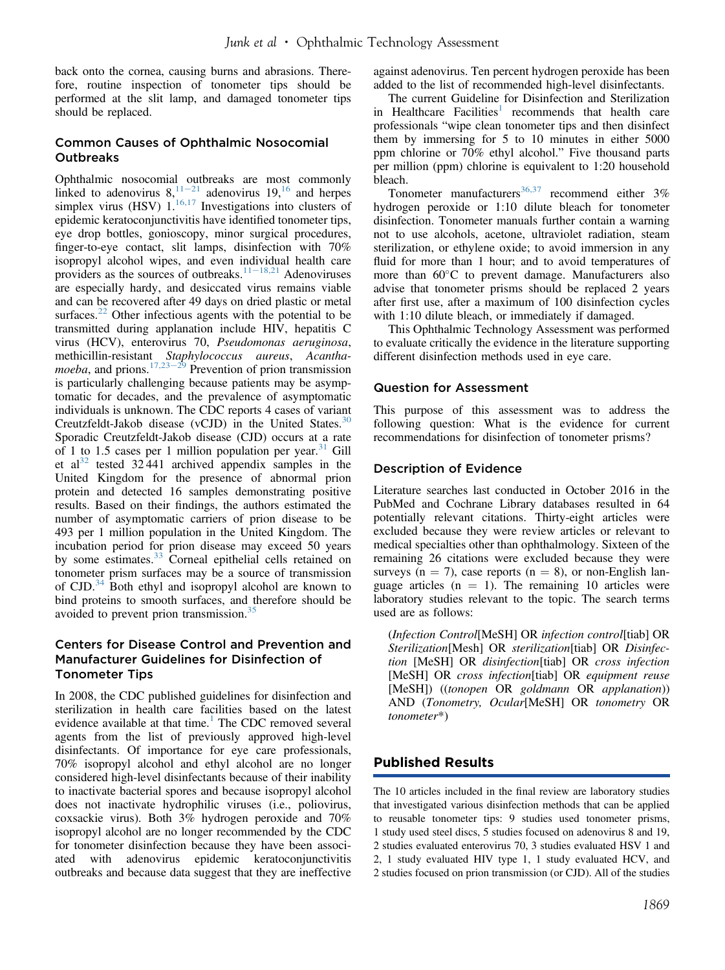back onto the cornea, causing burns and abrasions. Therefore, routine inspection of tonometer tips should be performed at the slit lamp, and damaged tonometer tips should be replaced.

#### Common Causes of Ophthalmic Nosocomial Outbreaks

Ophthalmic nosocomial outbreaks are most commonly linked to adenovirus  $8,^{11-21}$  $8,^{11-21}$  $8,^{11-21}$  $8,^{11-21}$  $8,^{11-21}$  adenovirus  $19,^{16}$  $19,^{16}$  $19,^{16}$  and herpes simplex virus (HSV)  $1^{16,17}$  $1^{16,17}$  $1^{16,17}$  Investigations into clusters of epidemic keratoconjunctivitis have identified tonometer tips, eye drop bottles, gonioscopy, minor surgical procedures, finger-to-eye contact, slit lamps, disinfection with 70% isopropyl alcohol wipes, and even individual health care providers as the sources of outbreaks.<sup>[11](#page-7-0)–[18,21](#page-7-0)</sup> Adenoviruses are especially hardy, and desiccated virus remains viable and can be recovered after 49 days on dried plastic or metal surfaces. $^{22}$  $^{22}$  $^{22}$  Other infectious agents with the potential to be transmitted during applanation include HIV, hepatitis C virus (HCV), enterovirus 70, Pseudomonas aeruginosa, methicillin-resistant *Staphylococcus aureus*, *Acantha-moeba*, and prions.<sup>[17,23](#page-7-0)–[29](#page-7-0)</sup> Prevention of prion transmission is particularly challenging because patients may be asymptomatic for decades, and the prevalence of asymptomatic individuals is unknown. The CDC reports 4 cases of variant Creutzfeldt-Jakob disease (vCJD) in the United States.<sup>[30](#page-8-0)</sup> Sporadic Creutzfeldt-Jakob disease (CJD) occurs at a rate of 1 to 1.5 cases per 1 million population per year.<sup>[31](#page-8-0)</sup> Gill et al<sup>32</sup> tested 32.441 archived appendix samples in the United Kingdom for the presence of abnormal prion protein and detected 16 samples demonstrating positive results. Based on their findings, the authors estimated the number of asymptomatic carriers of prion disease to be 493 per 1 million population in the United Kingdom. The incubation period for prion disease may exceed 50 years by some estimates.<sup>[33](#page-8-0)</sup> Corneal epithelial cells retained on tonometer prism surfaces may be a source of transmission of CJD.[34](#page-8-0) Both ethyl and isopropyl alcohol are known to bind proteins to smooth surfaces, and therefore should be avoided to prevent prion transmission.[35](#page-8-0)

## Centers for Disease Control and Prevention and Manufacturer Guidelines for Disinfection of Tonometer Tips

In 2008, the CDC published guidelines for disinfection and sterilization in health care facilities based on the latest evidence available at that time.<sup>[1](#page-7-0)</sup> The CDC removed several agents from the list of previously approved high-level disinfectants. Of importance for eye care professionals, 70% isopropyl alcohol and ethyl alcohol are no longer considered high-level disinfectants because of their inability to inactivate bacterial spores and because isopropyl alcohol does not inactivate hydrophilic viruses (i.e., poliovirus, coxsackie virus). Both 3% hydrogen peroxide and 70% isopropyl alcohol are no longer recommended by the CDC for tonometer disinfection because they have been associated with adenovirus epidemic keratoconjunctivitis outbreaks and because data suggest that they are ineffective against adenovirus. Ten percent hydrogen peroxide has been added to the list of recommended high-level disinfectants.

The current Guideline for Disinfection and Sterilization in Healthcare Facilities<sup>1</sup> recommends that health care professionals "wipe clean tonometer tips and then disinfect them by immersing for 5 to 10 minutes in either 5000 ppm chlorine or 70% ethyl alcohol." Five thousand parts per million (ppm) chlorine is equivalent to 1:20 household bleach.

Tonometer manufacturers<sup>36,37</sup> recommend either  $3\%$ hydrogen peroxide or 1:10 dilute bleach for tonometer disinfection. Tonometer manuals further contain a warning not to use alcohols, acetone, ultraviolet radiation, steam sterilization, or ethylene oxide; to avoid immersion in any fluid for more than 1 hour; and to avoid temperatures of more than  $60^{\circ}$ C to prevent damage. Manufacturers also advise that tonometer prisms should be replaced 2 years after first use, after a maximum of 100 disinfection cycles with 1:10 dilute bleach, or immediately if damaged.

This Ophthalmic Technology Assessment was performed to evaluate critically the evidence in the literature supporting different disinfection methods used in eye care.

#### Question for Assessment

This purpose of this assessment was to address the following question: What is the evidence for current recommendations for disinfection of tonometer prisms?

## Description of Evidence

Literature searches last conducted in October 2016 in the PubMed and Cochrane Library databases resulted in 64 potentially relevant citations. Thirty-eight articles were excluded because they were review articles or relevant to medical specialties other than ophthalmology. Sixteen of the remaining 26 citations were excluded because they were surveys ( $n = 7$ ), case reports ( $n = 8$ ), or non-English language articles  $(n = 1)$ . The remaining 10 articles were laboratory studies relevant to the topic. The search terms used are as follows:

(Infection Control[MeSH] OR infection control[tiab] OR Sterilization[Mesh] OR sterilization[tiab] OR Disinfection [MeSH] OR disinfection[tiab] OR cross infection [MeSH] OR cross infection[tiab] OR equipment reuse [MeSH]) ((tonopen OR goldmann OR applanation)) AND (Tonometry, Ocular[MeSH] OR tonometry OR tonometer\*)

# Published Results

The 10 articles included in the final review are laboratory studies that investigated various disinfection methods that can be applied to reusable tonometer tips: 9 studies used tonometer prisms, 1 study used steel discs, 5 studies focused on adenovirus 8 and 19, 2 studies evaluated enterovirus 70, 3 studies evaluated HSV 1 and 2, 1 study evaluated HIV type 1, 1 study evaluated HCV, and 2 studies focused on prion transmission (or CJD). All of the studies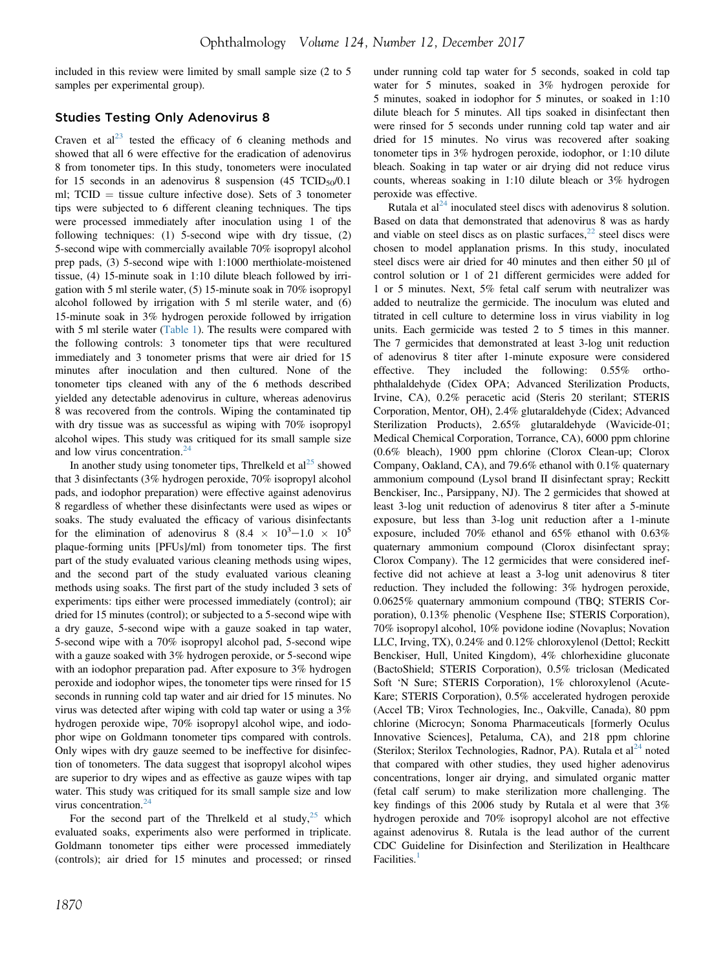included in this review were limited by small sample size (2 to 5 samples per experimental group).

## Studies Testing Only Adenovirus 8

Craven et  $al<sup>23</sup>$  $al<sup>23</sup>$  $al<sup>23</sup>$  tested the efficacy of 6 cleaning methods and showed that all 6 were effective for the eradication of adenovirus 8 from tonometer tips. In this study, tonometers were inoculated for 15 seconds in an adenovirus 8 suspension  $(45 \text{ TCID}_{50}/0.1)$ ml;  $TCID = tissue culture infective dose)$ . Sets of 3 tonometer tips were subjected to 6 different cleaning techniques. The tips were processed immediately after inoculation using 1 of the following techniques: (1) 5-second wipe with dry tissue, (2) 5-second wipe with commercially available 70% isopropyl alcohol prep pads, (3) 5-second wipe with 1:1000 merthiolate-moistened tissue, (4) 15-minute soak in 1:10 dilute bleach followed by irrigation with 5 ml sterile water, (5) 15-minute soak in 70% isopropyl alcohol followed by irrigation with 5 ml sterile water, and (6) 15-minute soak in 3% hydrogen peroxide followed by irrigation with 5 ml sterile water [\(Table 1](#page-4-0)). The results were compared with the following controls: 3 tonometer tips that were recultured immediately and 3 tonometer prisms that were air dried for 15 minutes after inoculation and then cultured. None of the tonometer tips cleaned with any of the 6 methods described yielded any detectable adenovirus in culture, whereas adenovirus 8 was recovered from the controls. Wiping the contaminated tip with dry tissue was as successful as wiping with 70% isopropyl alcohol wipes. This study was critiqued for its small sample size and low virus concentration.<sup>[24](#page-8-0)</sup>

In another study using tonometer tips, Threlkeld et  $al<sup>25</sup>$  $al<sup>25</sup>$  $al<sup>25</sup>$  showed that 3 disinfectants (3% hydrogen peroxide, 70% isopropyl alcohol pads, and iodophor preparation) were effective against adenovirus 8 regardless of whether these disinfectants were used as wipes or soaks. The study evaluated the efficacy of various disinfectants for the elimination of adenovirus 8  $(8.4 \times 10^3 - 1.0 \times 10^5$ plaque-forming units [PFUs]/ml) from tonometer tips. The first part of the study evaluated various cleaning methods using wipes, and the second part of the study evaluated various cleaning methods using soaks. The first part of the study included 3 sets of experiments: tips either were processed immediately (control); air dried for 15 minutes (control); or subjected to a 5-second wipe with a dry gauze, 5-second wipe with a gauze soaked in tap water, 5-second wipe with a 70% isopropyl alcohol pad, 5-second wipe with a gauze soaked with 3% hydrogen peroxide, or 5-second wipe with an iodophor preparation pad. After exposure to 3% hydrogen peroxide and iodophor wipes, the tonometer tips were rinsed for 15 seconds in running cold tap water and air dried for 15 minutes. No virus was detected after wiping with cold tap water or using a 3% hydrogen peroxide wipe, 70% isopropyl alcohol wipe, and iodophor wipe on Goldmann tonometer tips compared with controls. Only wipes with dry gauze seemed to be ineffective for disinfection of tonometers. The data suggest that isopropyl alcohol wipes are superior to dry wipes and as effective as gauze wipes with tap water. This study was critiqued for its small sample size and low virus concentration. $24$ 

For the second part of the Threlkeld et al study,  $25$  which evaluated soaks, experiments also were performed in triplicate. Goldmann tonometer tips either were processed immediately (controls); air dried for 15 minutes and processed; or rinsed under running cold tap water for 5 seconds, soaked in cold tap water for 5 minutes, soaked in 3% hydrogen peroxide for 5 minutes, soaked in iodophor for 5 minutes, or soaked in 1:10 dilute bleach for 5 minutes. All tips soaked in disinfectant then were rinsed for 5 seconds under running cold tap water and air dried for 15 minutes. No virus was recovered after soaking tonometer tips in 3% hydrogen peroxide, iodophor, or 1:10 dilute bleach. Soaking in tap water or air drying did not reduce virus counts, whereas soaking in 1:10 dilute bleach or 3% hydrogen peroxide was effective.

Rutala et al<sup>[24](#page-8-0)</sup> inoculated steel discs with adenovirus 8 solution. Based on data that demonstrated that adenovirus 8 was as hardy and viable on steel discs as on plastic surfaces, $22$  steel discs were chosen to model applanation prisms. In this study, inoculated steel discs were air dried for 40 minutes and then either 50 µl of control solution or 1 of 21 different germicides were added for 1 or 5 minutes. Next, 5% fetal calf serum with neutralizer was added to neutralize the germicide. The inoculum was eluted and titrated in cell culture to determine loss in virus viability in log units. Each germicide was tested 2 to 5 times in this manner. The 7 germicides that demonstrated at least 3-log unit reduction of adenovirus 8 titer after 1-minute exposure were considered effective. They included the following: 0.55% orthophthalaldehyde (Cidex OPA; Advanced Sterilization Products, Irvine, CA), 0.2% peracetic acid (Steris 20 sterilant; STERIS Corporation, Mentor, OH), 2.4% glutaraldehyde (Cidex; Advanced Sterilization Products), 2.65% glutaraldehyde (Wavicide-01; Medical Chemical Corporation, Torrance, CA), 6000 ppm chlorine (0.6% bleach), 1900 ppm chlorine (Clorox Clean-up; Clorox Company, Oakland, CA), and 79.6% ethanol with 0.1% quaternary ammonium compound (Lysol brand II disinfectant spray; Reckitt Benckiser, Inc., Parsippany, NJ). The 2 germicides that showed at least 3-log unit reduction of adenovirus 8 titer after a 5-minute exposure, but less than 3-log unit reduction after a 1-minute exposure, included 70% ethanol and 65% ethanol with 0.63% quaternary ammonium compound (Clorox disinfectant spray; Clorox Company). The 12 germicides that were considered ineffective did not achieve at least a 3-log unit adenovirus 8 titer reduction. They included the following: 3% hydrogen peroxide, 0.0625% quaternary ammonium compound (TBQ; STERIS Corporation), 0.13% phenolic (Vesphene IIse; STERIS Corporation), 70% isopropyl alcohol, 10% povidone iodine (Novaplus; Novation LLC, Irving, TX), 0.24% and 0.12% chloroxylenol (Dettol; Reckitt Benckiser, Hull, United Kingdom), 4% chlorhexidine gluconate (BactoShield; STERIS Corporation), 0.5% triclosan (Medicated Soft 'N Sure; STERIS Corporation), 1% chloroxylenol (Acute-Kare; STERIS Corporation), 0.5% accelerated hydrogen peroxide (Accel TB; Virox Technologies, Inc., Oakville, Canada), 80 ppm chlorine (Microcyn; Sonoma Pharmaceuticals [formerly Oculus Innovative Sciences], Petaluma, CA), and 218 ppm chlorine (Sterilox; Sterilox Technologies, Radnor, PA). Rutala et al<sup>[24](#page-8-0)</sup> noted that compared with other studies, they used higher adenovirus concentrations, longer air drying, and simulated organic matter (fetal calf serum) to make sterilization more challenging. The key findings of this 2006 study by Rutala et al were that 3% hydrogen peroxide and 70% isopropyl alcohol are not effective against adenovirus 8. Rutala is the lead author of the current CDC Guideline for Disinfection and Sterilization in Healthcare Facilities.<sup>[1](#page-7-0)</sup>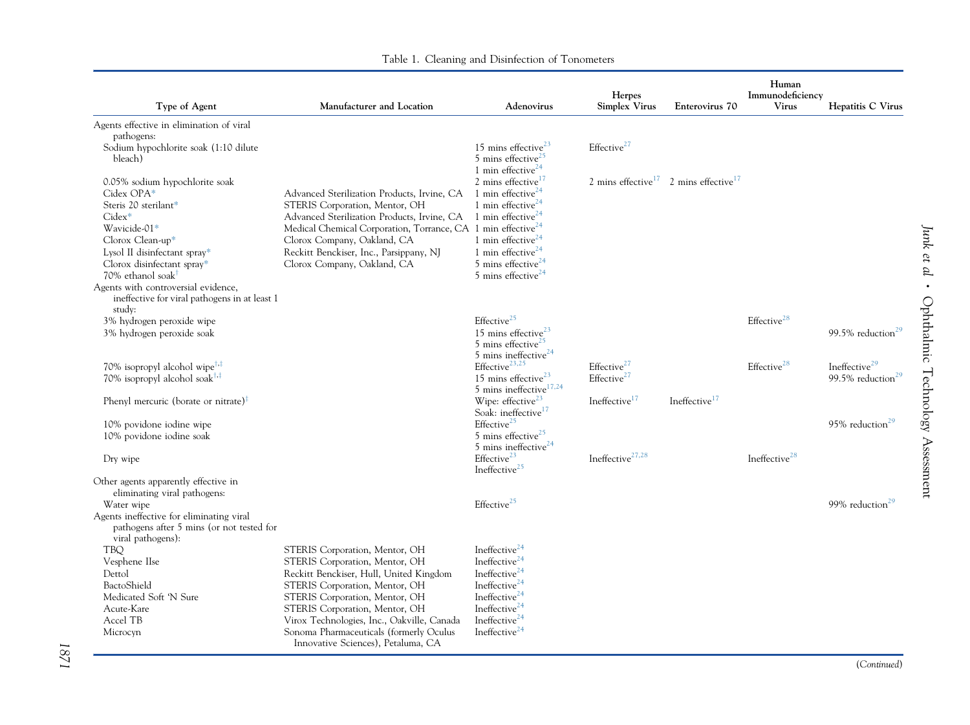<span id="page-4-0"></span>

| Type of Agent                                                                   | Manufacturer and Location                                                     | Adenovirus                                 | Herpes<br><b>Simplex Virus</b>                                | Enterovirus 70            | Human<br>Immunodeficiency<br><b>Virus</b> | Hepatitis C Virus             |
|---------------------------------------------------------------------------------|-------------------------------------------------------------------------------|--------------------------------------------|---------------------------------------------------------------|---------------------------|-------------------------------------------|-------------------------------|
| Agents effective in elimination of viral                                        |                                                                               |                                            |                                                               |                           |                                           |                               |
| pathogens:                                                                      |                                                                               |                                            |                                                               |                           |                                           |                               |
| Sodium hypochlorite soak (1:10 dilute                                           |                                                                               | 15 mins effective $^{23}$                  | Effective $27$                                                |                           |                                           |                               |
| bleach)                                                                         |                                                                               | 5 mins effective $25$                      |                                                               |                           |                                           |                               |
|                                                                                 |                                                                               | 1 min effective <sup>24</sup>              |                                                               |                           |                                           |                               |
| 0.05% sodium hypochlorite soak                                                  |                                                                               | 2 mins effective $17$                      | 2 mins effective <sup>17</sup> 2 mins effective <sup>17</sup> |                           |                                           |                               |
| Cidex OPA*                                                                      | Advanced Sterilization Products, Irvine, CA                                   | 1 min effective $24$                       |                                                               |                           |                                           |                               |
| Steris 20 sterilant*                                                            | STERIS Corporation, Mentor, OH                                                | 1 min effective <sup><math>24</math></sup> |                                                               |                           |                                           |                               |
| Cidex*                                                                          | Advanced Sterilization Products, Irvine, CA 1 min effective <sup>24</sup>     |                                            |                                                               |                           |                                           |                               |
| Wavicide-01*                                                                    | Medical Chemical Corporation, Torrance, CA 1 min effective <sup>24</sup>      |                                            |                                                               |                           |                                           |                               |
| Clorox Clean-up*                                                                | Clorox Company, Oakland, CA                                                   | 1 min effective $24$                       |                                                               |                           |                                           |                               |
| Lysol II disinfectant spray*                                                    | Reckitt Benckiser, Inc., Parsippany, NJ                                       | 1 min effective $24$                       |                                                               |                           |                                           |                               |
| Clorox disinfectant spray*                                                      | Clorox Company, Oakland, CA                                                   | 5 mins effective $24$                      |                                                               |                           |                                           |                               |
| 70% ethanol soak <sup>t</sup>                                                   |                                                                               | 5 mins effective $24$                      |                                                               |                           |                                           |                               |
| Agents with controversial evidence,                                             |                                                                               |                                            |                                                               |                           |                                           |                               |
| ineffective for viral pathogens in at least 1                                   |                                                                               |                                            |                                                               |                           |                                           |                               |
| study:                                                                          |                                                                               |                                            |                                                               |                           |                                           |                               |
| 3% hydrogen peroxide wipe                                                       |                                                                               | Effective <sup>25</sup>                    |                                                               |                           | Effective <sup>28</sup>                   |                               |
| 3% hydrogen peroxide soak                                                       |                                                                               | 15 mins effective $^{23}$                  |                                                               |                           |                                           | 99.5% reduction <sup>29</sup> |
|                                                                                 |                                                                               | 5 mins effective <sup>25</sup>             |                                                               |                           |                                           |                               |
|                                                                                 |                                                                               | 5 mins ineffective $2^4$                   |                                                               |                           |                                           |                               |
| 70% isopropyl alcohol wipe <sup><math>\dagger</math>,<math>\dagger</math></sup> |                                                                               | Effective <sup>23,25</sup>                 | Effective <sup>27</sup>                                       |                           | Effective <sup>28</sup>                   | Ineffective <sup>29</sup>     |
| 70% isopropyl alcohol soak <sup><math>\dagger</math>,<math>\dagger</math></sup> |                                                                               | 15 mins effective <sup>23</sup>            | Effective $27$                                                |                           |                                           | 99.5% reduction <sup>29</sup> |
|                                                                                 |                                                                               | 5 mins ineffective <sup>17,24</sup>        |                                                               |                           |                                           |                               |
| Phenyl mercuric (borate or nitrate) $\frac{1}{2}$                               |                                                                               | Wipe: effective <sup>23</sup>              | Ineffective <sup>17</sup>                                     | Ineffective <sup>17</sup> |                                           |                               |
|                                                                                 |                                                                               | Soak: ineffective <sup>17</sup>            |                                                               |                           |                                           |                               |
| 10% povidone iodine wipe                                                        |                                                                               | Effective <sup>25</sup>                    |                                                               |                           |                                           | 95% reduction <sup>29</sup>   |
| 10% povidone iodine soak                                                        |                                                                               | 5 mins effective $25$                      |                                                               |                           |                                           |                               |
|                                                                                 |                                                                               | 5 mins ineffective $24$                    |                                                               |                           |                                           |                               |
| Dry wipe                                                                        |                                                                               | Effective <sup>23</sup>                    | Ineffective <sup>27,28</sup>                                  |                           | Ineffective <sup>28</sup>                 |                               |
|                                                                                 |                                                                               | Ineffective <sup>25</sup>                  |                                                               |                           |                                           |                               |
| Other agents apparently effective in                                            |                                                                               |                                            |                                                               |                           |                                           |                               |
| eliminating viral pathogens:                                                    |                                                                               |                                            |                                                               |                           |                                           |                               |
| Water wipe                                                                      |                                                                               | Effective $25$                             |                                                               |                           |                                           | 99% reduction <sup>29</sup>   |
| Agents ineffective for eliminating viral                                        |                                                                               |                                            |                                                               |                           |                                           |                               |
| pathogens after 5 mins (or not tested for                                       |                                                                               |                                            |                                                               |                           |                                           |                               |
| viral pathogens):                                                               |                                                                               |                                            |                                                               |                           |                                           |                               |
| TBQ                                                                             | STERIS Corporation, Mentor, OH                                                | Ineffective <sup>24</sup>                  |                                                               |                           |                                           |                               |
| Vesphene IIse                                                                   | Ineffective <sup>24</sup><br>STERIS Corporation, Mentor, OH                   |                                            |                                                               |                           |                                           |                               |
| Dettol                                                                          | Reckitt Benckiser, Hull, United Kingdom                                       | Ineffective $24$                           |                                                               |                           |                                           |                               |
| BactoShield                                                                     | STERIS Corporation, Mentor, OH                                                | Ineffective <sup>24</sup>                  |                                                               |                           |                                           |                               |
| Medicated Soft 'N Sure                                                          | STERIS Corporation, Mentor, OH                                                | Ineffective <sup>24</sup>                  |                                                               |                           |                                           |                               |
| Acute-Kare                                                                      | STERIS Corporation, Mentor, OH                                                | Ineffective $24$                           |                                                               |                           |                                           |                               |
| Accel TB                                                                        | Virox Technologies, Inc., Oakville, Canada                                    | Ineffective $^{24}$                        |                                                               |                           |                                           |                               |
| Microcyn                                                                        | Sonoma Pharmaceuticals (formerly Oculus<br>Innovative Sciences), Petaluma, CA | Ineffective <sup>24</sup>                  |                                                               |                           |                                           |                               |

# Table 1. Cleaning and Disinfection of Tonometers

(Continued)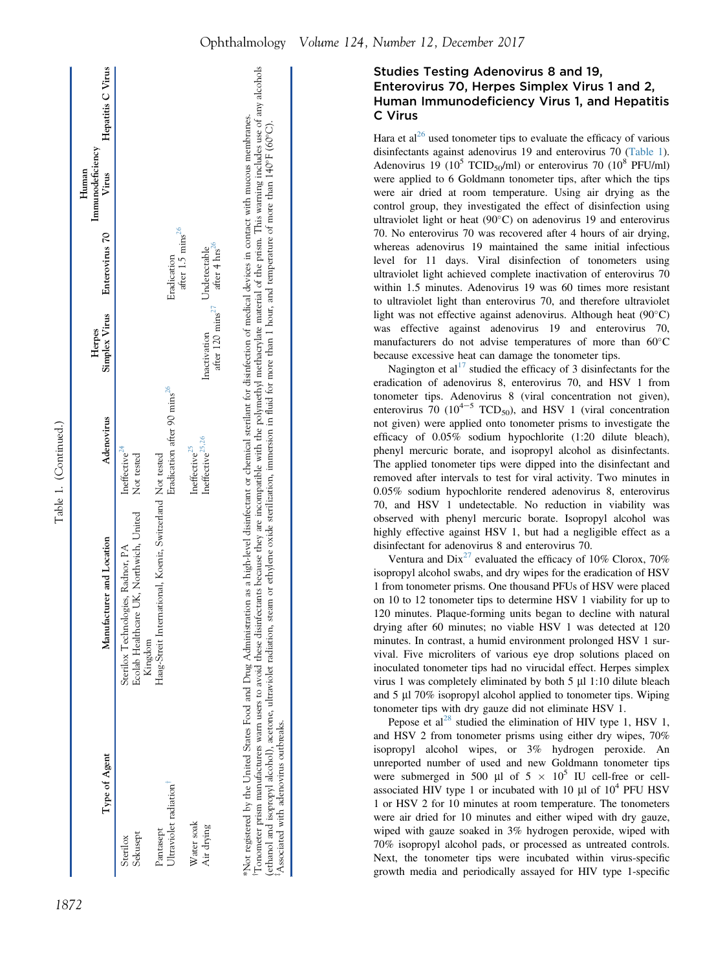<span id="page-5-0"></span>

|                                       |                                                                                                                                                                                                                                                                                                                                                                                                                                                                                                                                                                                                   |                                         | Herpes        |                                                                        | Immunodeficiency<br>Human |                   |
|---------------------------------------|---------------------------------------------------------------------------------------------------------------------------------------------------------------------------------------------------------------------------------------------------------------------------------------------------------------------------------------------------------------------------------------------------------------------------------------------------------------------------------------------------------------------------------------------------------------------------------------------------|-----------------------------------------|---------------|------------------------------------------------------------------------|---------------------------|-------------------|
| Type of Agent                         | Manufacturer and Location                                                                                                                                                                                                                                                                                                                                                                                                                                                                                                                                                                         | Adenovirus                              | Simplex Virus | Enterovirus 70                                                         | Virus                     | Hepatitis C Virus |
| Sekusept<br>Sterilox                  | Ecolab Healthcare UK, Northwich, United<br>Sterilox Technologies, Radnor, PA<br>Kingdom                                                                                                                                                                                                                                                                                                                                                                                                                                                                                                           | Ineffective $^{24}$<br>Not tested       |               |                                                                        |                           |                   |
| Ultraviolet radiation<br>Pantasept    | Haag-Streit International, Koeniz, Switzerland Not tested                                                                                                                                                                                                                                                                                                                                                                                                                                                                                                                                         | Eradication after 90 mins <sup>26</sup> |               | Eradication                                                            |                           |                   |
| Water soak                            |                                                                                                                                                                                                                                                                                                                                                                                                                                                                                                                                                                                                   | Ineffective <sup>25</sup>               |               | after $1.5 \text{ mins}^{26}$                                          |                           |                   |
| Air drying                            |                                                                                                                                                                                                                                                                                                                                                                                                                                                                                                                                                                                                   | Ineffective <sup>25,26</sup>            | Inactivation  | after 120 mins <sup>27</sup> after 4 hrs <sup>26</sup><br>Undetectable |                           |                   |
| Associated with adenovirus outbreaks. | Tonometer prism manufacturers warn users to avoid these disinfectants because they are incompatible with the polymethyl methacrylate material of the prism. This warning includes use of any alcohols<br>*Not registered by the United States Food and Drug Administration as a high-level disinfectant or chemical sterilant for disinfection of medical devices in contact with mucous membranes.<br>ethanol and isopropyl alcohol), acetone, ultraviolet radiation, steam or ethylene oxide sterilization, immersion in fluid for more than 1 hour, and temperature of more than 140°F (60°C). |                                         |               |                                                                        |                           |                   |

Associated with adenovirus outbreaks.

#### Studies Testing Adenovirus 8 and 19, Enterovirus 70, Herpes Simplex Virus 1 and 2, Human Immunodeficiency Virus 1, and Hepatitis C Virus

Hara et  $al^{26}$  $al^{26}$  $al^{26}$  used tonometer tips to evaluate the efficacy of various disinfectants against adenovirus 19 and enterovirus 70 [\(Table 1](#page-4-0)). Adenovirus 19 (10<sup>5</sup> TCID<sub>50</sub>/ml) or enterovirus 70 (10<sup>8</sup> PFU/ml) were applied to 6 Goldmann tonometer tips, after which the tips were air dried at room temperature. Using air drying as the control group, they investigated the effect of disinfection using ultraviolet light or heat  $(90^{\circ}C)$  on adenovirus 19 and enterovirus 70. No enterovirus 70 was recovered after 4 hours of air drying, whereas adenovirus 19 maintained the same initial infectious level for 11 days. Viral disinfection of tonometers using ultraviolet light achieved complete inactivation of enterovirus 70 within 1.5 minutes. Adenovirus 19 was 60 times more resistant to ultraviolet light than enterovirus 70, and therefore ultraviolet light was not effective against adenovirus. Although heat  $(90^{\circ}C)$ was effective against adenovirus 19 and enterovirus 70, manufacturers do not advise temperatures of more than  $60^{\circ}$ C because excessive heat can damage the tonometer tips.

Nagington et al<sup>[17](#page-7-0)</sup> studied the efficacy of 3 disinfectants for the eradication of adenovirus 8, enterovirus 70, and HSV 1 from tonometer tips. Adenovirus 8 (viral concentration not given), enterovirus 70 ( $10^{4-5}$  TCD<sub>50</sub>), and HSV 1 (viral concentration not given) were applied onto tonometer prisms to investigate the efficacy of 0.05% sodium hypochlorite (1:20 dilute bleach), phenyl mercuric borate, and isopropyl alcohol as disinfectants. The applied tonometer tips were dipped into the disinfectant and removed after intervals to test for viral activity. Two minutes in 0.05% sodium hypochlorite rendered adenovirus 8, enterovirus 70, and HSV 1 undetectable. No reduction in viability was observed with phenyl mercuric borate. Isopropyl alcohol was highly effective against HSV 1, but had a negligible effect as a disinfectant for adenovirus 8 and enterovirus 70.

Ventura and  $\arcsin 27$  $\arcsin 27$  evaluated the efficacy of 10% Clorox, 70% isopropyl alcohol swabs, and dry wipes for the eradication of HSV 1 from tonometer prisms. One thousand PFUs of HSV were placed on 10 to 12 tonometer tips to determine HSV 1 viability for up to 120 minutes. Plaque-forming units began to decline with natural drying after 60 minutes; no viable HSV 1 was detected at 120 minutes. In contrast, a humid environment prolonged HSV 1 survival. Five microliters of various eye drop solutions placed on inoculated tonometer tips had no virucidal effect. Herpes simplex virus 1 was completely eliminated by both 5 µl 1:10 dilute bleach and  $5 \mu$ l 70% isopropyl alcohol applied to tonometer tips. Wiping tonometer tips with dry gauze did not eliminate HSV 1.

Pepose et al<sup>[28](#page-8-0)</sup> studied the elimination of HIV type 1, HSV 1, and HSV 2 from tonometer prisms using either dry wipes, 70% isopropyl alcohol wipes, or 3% hydrogen peroxide. An unreported number of used and new Goldmann tonometer tips were submerged in 500  $\mu$ l of 5  $\times$  10<sup>5</sup> IU cell-free or cellassociated HIV type 1 or incubated with 10  $\mu$ l of 10<sup>4</sup> PFU HSV 1 or HSV 2 for 10 minutes at room temperature. The tonometers were air dried for 10 minutes and either wiped with dry gauze, wiped with gauze soaked in 3% hydrogen peroxide, wiped with 70% isopropyl alcohol pads, or processed as untreated controls. Next, the tonometer tips were incubated within virus-specific growth media and periodically assayed for HIV type 1-specific

Table 1. (Continued.)

Table 1. (Continued.)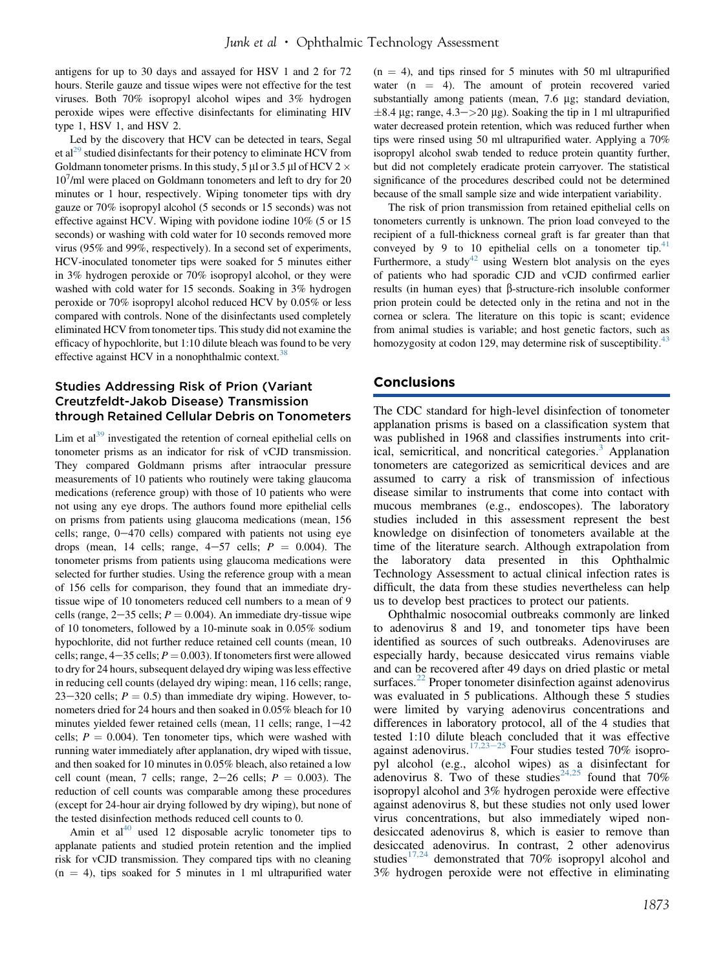antigens for up to 30 days and assayed for HSV 1 and 2 for 72 hours. Sterile gauze and tissue wipes were not effective for the test viruses. Both 70% isopropyl alcohol wipes and 3% hydrogen peroxide wipes were effective disinfectants for eliminating HIV type 1, HSV 1, and HSV 2.

Led by the discovery that HCV can be detected in tears, Segal et al<sup>29</sup> studied disinfectants for their potency to eliminate HCV from Goldmann tonometer prisms. In this study, 5 µl or 3.5 µl of HCV 2  $\times$ 107 /ml were placed on Goldmann tonometers and left to dry for 20 minutes or 1 hour, respectively. Wiping tonometer tips with dry gauze or 70% isopropyl alcohol (5 seconds or 15 seconds) was not effective against HCV. Wiping with povidone iodine 10% (5 or 15 seconds) or washing with cold water for 10 seconds removed more virus (95% and 99%, respectively). In a second set of experiments, HCV-inoculated tonometer tips were soaked for 5 minutes either in 3% hydrogen peroxide or 70% isopropyl alcohol, or they were washed with cold water for 15 seconds. Soaking in 3% hydrogen peroxide or 70% isopropyl alcohol reduced HCV by 0.05% or less compared with controls. None of the disinfectants used completely eliminated HCV from tonometer tips. This study did not examine the efficacy of hypochlorite, but 1:10 dilute bleach was found to be very effective against HCV in a nonophthalmic context.<sup>[38](#page-8-0)</sup>

#### Studies Addressing Risk of Prion (Variant Creutzfeldt-Jakob Disease) Transmission through Retained Cellular Debris on Tonometers

Lim et  $al<sup>39</sup>$  $al<sup>39</sup>$  $al<sup>39</sup>$  investigated the retention of corneal epithelial cells on tonometer prisms as an indicator for risk of vCJD transmission. They compared Goldmann prisms after intraocular pressure measurements of 10 patients who routinely were taking glaucoma medications (reference group) with those of 10 patients who were not using any eye drops. The authors found more epithelial cells on prisms from patients using glaucoma medications (mean, 156 cells; range,  $0-470$  cells) compared with patients not using eye drops (mean, 14 cells; range,  $4-57$  cells;  $P = 0.004$ ). The tonometer prisms from patients using glaucoma medications were selected for further studies. Using the reference group with a mean of 156 cells for comparison, they found that an immediate drytissue wipe of 10 tonometers reduced cell numbers to a mean of 9 cells (range,  $2-35$  cells;  $P = 0.004$ ). An immediate dry-tissue wipe of 10 tonometers, followed by a 10-minute soak in 0.05% sodium hypochlorite, did not further reduce retained cell counts (mean, 10 cells; range,  $4-35$  cells;  $P = 0.003$ ). If tonometers first were allowed to dry for 24 hours, subsequent delayed dry wiping was less effective in reducing cell counts (delayed dry wiping: mean, 116 cells; range, 23–320 cells;  $P = 0.5$ ) than immediate dry wiping. However, tonometers dried for 24 hours and then soaked in 0.05% bleach for 10 minutes yielded fewer retained cells (mean,  $11$  cells; range,  $1-42$ cells;  $P = 0.004$ ). Ten tonometer tips, which were washed with running water immediately after applanation, dry wiped with tissue, and then soaked for 10 minutes in 0.05% bleach, also retained a low cell count (mean, 7 cells; range,  $2-26$  cells;  $P = 0.003$ ). The reduction of cell counts was comparable among these procedures (except for 24-hour air drying followed by dry wiping), but none of the tested disinfection methods reduced cell counts to 0.

Amin et  $al^{40}$  used 12 disposable acrylic tonometer tips to applanate patients and studied protein retention and the implied risk for vCJD transmission. They compared tips with no cleaning  $(n = 4)$ , tips soaked for 5 minutes in 1 ml ultrapurified water

 $(n = 4)$ , and tips rinsed for 5 minutes with 50 ml ultrapurified water  $(n = 4)$ . The amount of protein recovered varied substantially among patients (mean, 7.6 µg; standard deviation,  $\pm 8.4$  µg; range,  $4.3$  - > 20 µg). Soaking the tip in 1 ml ultrapurified water decreased protein retention, which was reduced further when tips were rinsed using 50 ml ultrapurified water. Applying a 70% isopropyl alcohol swab tended to reduce protein quantity further, but did not completely eradicate protein carryover. The statistical significance of the procedures described could not be determined because of the small sample size and wide interpatient variability.

The risk of prion transmission from retained epithelial cells on tonometers currently is unknown. The prion load conveyed to the recipient of a full-thickness corneal graft is far greater than that conveyed by 9 to 10 epithelial cells on a tonometer tip. $41$ Furthermore, a study<sup>[42](#page-8-0)</sup> using Western blot analysis on the eyes of patients who had sporadic CJD and vCJD confirmed earlier results (in human eyes) that  $\beta$ -structure-rich insoluble conformer prion protein could be detected only in the retina and not in the cornea or sclera. The literature on this topic is scant; evidence from animal studies is variable; and host genetic factors, such as homozygosity at codon 129, may determine risk of susceptibility.<sup>4</sup>

## Conclusions

The CDC standard for high-level disinfection of tonometer applanation prisms is based on a classification system that was published in 1968 and classifies instruments into crit-ical, semicritical, and noncritical categories.<sup>[3](#page-7-0)</sup> Applanation tonometers are categorized as semicritical devices and are assumed to carry a risk of transmission of infectious disease similar to instruments that come into contact with mucous membranes (e.g., endoscopes). The laboratory studies included in this assessment represent the best knowledge on disinfection of tonometers available at the time of the literature search. Although extrapolation from the laboratory data presented in this Ophthalmic Technology Assessment to actual clinical infection rates is difficult, the data from these studies nevertheless can help us to develop best practices to protect our patients.

Ophthalmic nosocomial outbreaks commonly are linked to adenovirus 8 and 19, and tonometer tips have been identified as sources of such outbreaks. Adenoviruses are especially hardy, because desiccated virus remains viable and can be recovered after 49 days on dried plastic or metal surfaces.<sup>[22](#page-8-0)</sup> Proper tonometer disinfection against adenovirus was evaluated in 5 publications. Although these 5 studies were limited by varying adenovirus concentrations and differences in laboratory protocol, all of the 4 studies that tested 1:10 dilute bleach concluded that it was effective against adenovirus.<sup>[17,23](#page-7-0)-[25](#page-7-0)</sup> Four studies tested 70% isopropyl alcohol (e.g., alcohol wipes) as a disinfectant for adenovirus 8. Two of these studies<sup>[24,25](#page-8-0)</sup> found that  $70\%$ isopropyl alcohol and 3% hydrogen peroxide were effective against adenovirus 8, but these studies not only used lower virus concentrations, but also immediately wiped nondesiccated adenovirus 8, which is easier to remove than desiccated adenovirus. In contrast, 2 other adenovirus studies<sup>[17,24](#page-7-0)</sup> demonstrated that 70% isopropyl alcohol and 3% hydrogen peroxide were not effective in eliminating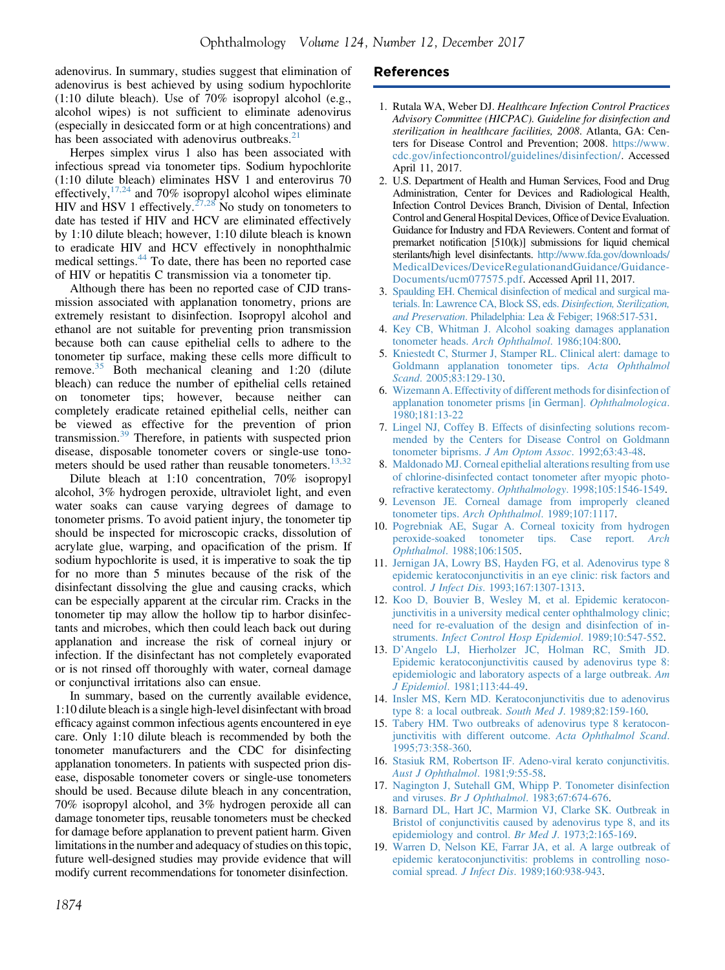<span id="page-7-0"></span>adenovirus. In summary, studies suggest that elimination of adenovirus is best achieved by using sodium hypochlorite (1:10 dilute bleach). Use of 70% isopropyl alcohol (e.g., alcohol wipes) is not sufficient to eliminate adenovirus (especially in desiccated form or at high concentrations) and has been associated with adenovirus outbreaks. $^{21}$  $^{21}$  $^{21}$ 

Herpes simplex virus 1 also has been associated with infectious spread via tonometer tips. Sodium hypochlorite (1:10 dilute bleach) eliminates HSV 1 and enterovirus 70 effectively,17,24 and 70% isopropyl alcohol wipes eliminate HIV and HSV 1 effectively.<sup>[27,28](#page-8-0)</sup> No study on tonometers to date has tested if HIV and HCV are eliminated effectively by 1:10 dilute bleach; however, 1:10 dilute bleach is known to eradicate HIV and HCV effectively in nonophthalmic medical settings.[44](#page-8-0) To date, there has been no reported case of HIV or hepatitis C transmission via a tonometer tip.

Although there has been no reported case of CJD transmission associated with applanation tonometry, prions are extremely resistant to disinfection. Isopropyl alcohol and ethanol are not suitable for preventing prion transmission because both can cause epithelial cells to adhere to the tonometer tip surface, making these cells more difficult to remove.[35](#page-8-0) Both mechanical cleaning and 1:20 (dilute bleach) can reduce the number of epithelial cells retained on tonometer tips; however, because neither can completely eradicate retained epithelial cells, neither can be viewed as effective for the prevention of prion transmission.[39](#page-8-0) Therefore, in patients with suspected prion disease, disposable tonometer covers or single-use tonometers should be used rather than reusable tonometers.<sup>13,32</sup>

Dilute bleach at 1:10 concentration, 70% isopropyl alcohol, 3% hydrogen peroxide, ultraviolet light, and even water soaks can cause varying degrees of damage to tonometer prisms. To avoid patient injury, the tonometer tip should be inspected for microscopic cracks, dissolution of acrylate glue, warping, and opacification of the prism. If sodium hypochlorite is used, it is imperative to soak the tip for no more than 5 minutes because of the risk of the disinfectant dissolving the glue and causing cracks, which can be especially apparent at the circular rim. Cracks in the tonometer tip may allow the hollow tip to harbor disinfectants and microbes, which then could leach back out during applanation and increase the risk of corneal injury or infection. If the disinfectant has not completely evaporated or is not rinsed off thoroughly with water, corneal damage or conjunctival irritations also can ensue.

In summary, based on the currently available evidence, 1:10 dilute bleach is a single high-level disinfectant with broad efficacy against common infectious agents encountered in eye care. Only 1:10 dilute bleach is recommended by both the tonometer manufacturers and the CDC for disinfecting applanation tonometers. In patients with suspected prion disease, disposable tonometer covers or single-use tonometers should be used. Because dilute bleach in any concentration, 70% isopropyl alcohol, and 3% hydrogen peroxide all can damage tonometer tips, reusable tonometers must be checked for damage before applanation to prevent patient harm. Given limitations in the number and adequacy of studies on this topic, future well-designed studies may provide evidence that will modify current recommendations for tonometer disinfection.

## References

- 1. Rutala WA, Weber DJ. Healthcare Infection Control Practices Advisory Committee (HICPAC). Guideline for disinfection and sterilization in healthcare facilities, 2008. Atlanta, GA: Centers for Disease Control and Prevention; 2008. [https://www.](https://www.cdc.gov/infectioncontrol/guidelines/disinfection/) [cdc.gov/infectioncontrol/guidelines/disinfection/](https://www.cdc.gov/infectioncontrol/guidelines/disinfection/). Accessed April 11, 2017.
- 2. U.S. Department of Health and Human Services, Food and Drug Administration, Center for Devices and Radiological Health, Infection Control Devices Branch, Division of Dental, Infection Control and General Hospital Devices, Office of Device Evaluation. Guidance for Industry and FDA Reviewers. Content and format of premarket notification [510(k)] submissions for liquid chemical sterilants/high level disinfectants. [http://www.fda.gov/downloads/](http://www.fda.gov/downloads/MedicalDevices/DeviceRegulationandGuidance/GuidanceDocuments/ucm077575.pdf) [MedicalDevices/DeviceRegulationandGuidance/Guidance-](http://www.fda.gov/downloads/MedicalDevices/DeviceRegulationandGuidance/GuidanceDocuments/ucm077575.pdf)[Documents/ucm077575.pdf.](http://www.fda.gov/downloads/MedicalDevices/DeviceRegulationandGuidance/GuidanceDocuments/ucm077575.pdf) Accessed April 11, 2017.
- 3. [Spaulding EH. Chemical disinfection of medical and surgical ma](http://refhub.elsevier.com/S0161-6420(17)31677-9/sref3)[terials. In: Lawrence CA, Block SS, eds.](http://refhub.elsevier.com/S0161-6420(17)31677-9/sref3) Disinfection, Sterilization, and Preservation[. Philadelphia: Lea & Febiger; 1968:517-531](http://refhub.elsevier.com/S0161-6420(17)31677-9/sref3).
- 4. [Key CB, Whitman J. Alcohol soaking damages applanation](http://refhub.elsevier.com/S0161-6420(17)31677-9/sref4) tonometer heads. [Arch Ophthalmol](http://refhub.elsevier.com/S0161-6420(17)31677-9/sref4). 1986;104:800.
- 5. [Kniestedt C, Sturmer J, Stamper RL. Clinical alert: damage to](http://refhub.elsevier.com/S0161-6420(17)31677-9/sref5) [Goldmann applanation tonometer tips.](http://refhub.elsevier.com/S0161-6420(17)31677-9/sref5) Acta Ophthalmol Scand[. 2005;83:129-130](http://refhub.elsevier.com/S0161-6420(17)31677-9/sref5).
- 6. [Wizemann A. Effectivity of different methods for disinfection of](http://refhub.elsevier.com/S0161-6420(17)31677-9/sref6) [applanation tonometer prisms \[in German\].](http://refhub.elsevier.com/S0161-6420(17)31677-9/sref6) Ophthalmologica. [1980;181:13-22](http://refhub.elsevier.com/S0161-6420(17)31677-9/sref6)
- 7. [Lingel NJ, Coffey B. Effects of disinfecting solutions recom](http://refhub.elsevier.com/S0161-6420(17)31677-9/sref7)[mended by the Centers for Disease Control on Goldmann](http://refhub.elsevier.com/S0161-6420(17)31677-9/sref7) [tonometer biprisms.](http://refhub.elsevier.com/S0161-6420(17)31677-9/sref7) J Am Optom Assoc. 1992;63:43-48.
- 8. [Maldonado MJ. Corneal epithelial alterations resulting from use](http://refhub.elsevier.com/S0161-6420(17)31677-9/sref8) [of chlorine-disinfected contact tonometer after myopic photo](http://refhub.elsevier.com/S0161-6420(17)31677-9/sref8)[refractive keratectomy.](http://refhub.elsevier.com/S0161-6420(17)31677-9/sref8) Ophthalmology. 1998;105:1546-1549.
- 9. [Levenson JE. Corneal damage from improperly cleaned](http://refhub.elsevier.com/S0161-6420(17)31677-9/sref9) tonometer tips. [Arch Ophthalmol](http://refhub.elsevier.com/S0161-6420(17)31677-9/sref9). 1989;107:1117.
- 10. [Pogrebniak AE, Sugar A. Corneal toxicity from hydrogen](http://refhub.elsevier.com/S0161-6420(17)31677-9/sref10) [peroxide-soaked tonometer tips. Case report.](http://refhub.elsevier.com/S0161-6420(17)31677-9/sref10) Arch Ophthalmol[. 1988;106:1505.](http://refhub.elsevier.com/S0161-6420(17)31677-9/sref10)
- 11. [Jernigan JA, Lowry BS, Hayden FG, et al. Adenovirus type 8](http://refhub.elsevier.com/S0161-6420(17)31677-9/sref11) [epidemic keratoconjunctivitis in an eye clinic: risk factors and](http://refhub.elsevier.com/S0161-6420(17)31677-9/sref11) control. J Infect Dis[. 1993;167:1307-1313.](http://refhub.elsevier.com/S0161-6420(17)31677-9/sref11)
- 12. [Koo D, Bouvier B, Wesley M, et al. Epidemic keratocon](http://refhub.elsevier.com/S0161-6420(17)31677-9/sref12)[junctivitis in a university medical center ophthalmology clinic;](http://refhub.elsevier.com/S0161-6420(17)31677-9/sref12) [need for re-evaluation of the design and disinfection of in](http://refhub.elsevier.com/S0161-6420(17)31677-9/sref12)struments. [Infect Control Hosp Epidemiol](http://refhub.elsevier.com/S0161-6420(17)31677-9/sref12). 1989;10:547-552.
- 13. D'[Angelo LJ, Hierholzer JC, Holman RC, Smith JD.](http://refhub.elsevier.com/S0161-6420(17)31677-9/sref13) [Epidemic keratoconjunctivitis caused by adenovirus type 8:](http://refhub.elsevier.com/S0161-6420(17)31677-9/sref13) [epidemiologic and laboratory aspects of a large outbreak.](http://refhub.elsevier.com/S0161-6420(17)31677-9/sref13) Am J Epidemiol[. 1981;113:44-49.](http://refhub.elsevier.com/S0161-6420(17)31677-9/sref13)
- 14. [Insler MS, Kern MD. Keratoconjunctivitis due to adenovirus](http://refhub.elsevier.com/S0161-6420(17)31677-9/sref14) [type 8: a local outbreak.](http://refhub.elsevier.com/S0161-6420(17)31677-9/sref14) South Med J. 1989;82:159-160.
- 15. [Tabery HM. Two outbreaks of adenovirus type 8 keratocon](http://refhub.elsevier.com/S0161-6420(17)31677-9/sref15)[junctivitis with different outcome.](http://refhub.elsevier.com/S0161-6420(17)31677-9/sref15) Acta Ophthalmol Scand. [1995;73:358-360](http://refhub.elsevier.com/S0161-6420(17)31677-9/sref15).
- 16. [Stasiuk RM, Robertson IF. Adeno-viral kerato conjunctivitis.](http://refhub.elsevier.com/S0161-6420(17)31677-9/sref16) [Aust J Ophthalmol](http://refhub.elsevier.com/S0161-6420(17)31677-9/sref16). 1981;9:55-58.
- 17. [Nagington J, Sutehall GM, Whipp P. Tonometer disinfection](http://refhub.elsevier.com/S0161-6420(17)31677-9/sref17) and viruses. Br J Ophthalmol[. 1983;67:674-676](http://refhub.elsevier.com/S0161-6420(17)31677-9/sref17).
- 18. [Barnard DL, Hart JC, Marmion VJ, Clarke SK. Outbreak in](http://refhub.elsevier.com/S0161-6420(17)31677-9/sref18) [Bristol of conjunctivitis caused by adenovirus type 8, and its](http://refhub.elsevier.com/S0161-6420(17)31677-9/sref18) [epidemiology and control.](http://refhub.elsevier.com/S0161-6420(17)31677-9/sref18) Br Med J. 1973;2:165-169.
- 19. [Warren D, Nelson KE, Farrar JA, et al. A large outbreak of](http://refhub.elsevier.com/S0161-6420(17)31677-9/sref19) [epidemic keratoconjunctivitis: problems in controlling noso](http://refhub.elsevier.com/S0161-6420(17)31677-9/sref19)comial spread. J Infect Dis[. 1989;160:938-943.](http://refhub.elsevier.com/S0161-6420(17)31677-9/sref19)